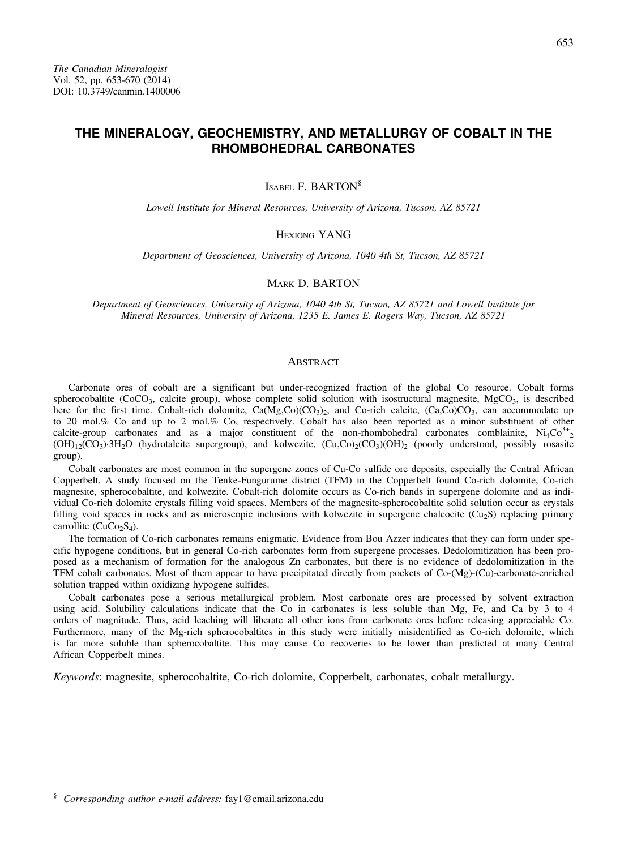# THE MINERALOGY, GEOCHEMISTRY, AND METALLURGY OF COBALT IN THE RHOMBOHEDRAL CARBONATES

ISABEL F. BARTON§

Lowell Institute for Mineral Resources, University of Arizona, Tucson, AZ 85721

HEXIONG YANG

Department of Geosciences, University of Arizona, 1040 4th St, Tucson, AZ 85721

MARK D. BARTON

Department of Geosciences, University of Arizona, 1040 4th St, Tucson, AZ 85721 and Lowell Institute for Mineral Resources, University of Arizona, 1235 E. James E. Rogers Way, Tucson, AZ 85721

### ABSTRACT

Carbonate ores of cobalt are a significant but under-recognized fraction of the global Co resource. Cobalt forms spherocobaltite (CoCO<sub>3</sub>, calcite group), whose complete solid solution with isostructural magnesite, MgCO<sub>3</sub>, is described here for the first time. Cobalt-rich dolomite,  $Ca(Mg,Co)(CO<sub>3</sub>)$ , and Co-rich calcite,  $(Ca,Co)CO<sub>3</sub>$ , can accommodate up to 20 mol.% Co and up to 2 mol.% Co, respectively. Cobalt has also been reported as a minor substituent of other calcite-group carbonates and as a major constituent of the non-rhombohedral carbonates comblainite,  $Ni<sub>4</sub>Co<sup>3+</sup><sub>2</sub>$  $(OH)_{12}(CO_3)·3H_2O$  (hydrotalcite supergroup), and kolwezite,  $(Cu, Co)_{2}(CO_3)(OH)_{22}$  (poorly understood, possibly rosasite group).

Cobalt carbonates are most common in the supergene zones of Cu-Co sulfide ore deposits, especially the Central African Copperbelt. A study focused on the Tenke-Fungurume district (TFM) in the Copperbelt found Co-rich dolomite, Co-rich magnesite, spherocobaltite, and kolwezite. Cobalt-rich dolomite occurs as Co-rich bands in supergene dolomite and as individual Co-rich dolomite crystals filling void spaces. Members of the magnesite-spherocobaltite solid solution occur as crystals filling void spaces in rocks and as microscopic inclusions with kolwezite in supergene chalcocite ( $Cu<sub>2</sub>S$ ) replacing primary carrollite ( $CuCo<sub>2</sub>S<sub>4</sub>$ ).

The formation of Co-rich carbonates remains enigmatic. Evidence from Bou Azzer indicates that they can form under specific hypogene conditions, but in general Co-rich carbonates form from supergene processes. Dedolomitization has been proposed as a mechanism of formation for the analogous Zn carbonates, but there is no evidence of dedolomitization in the TFM cobalt carbonates. Most of them appear to have precipitated directly from pockets of Co-(Mg)-(Cu)-carbonate-enriched solution trapped within oxidizing hypogene sulfides.

Cobalt carbonates pose a serious metallurgical problem. Most carbonate ores are processed by solvent extraction using acid. Solubility calculations indicate that the Co in carbonates is less soluble than Mg, Fe, and Ca by 3 to 4 orders of magnitude. Thus, acid leaching will liberate all other ions from carbonate ores before releasing appreciable Co. Furthermore, many of the Mg-rich spherocobaltites in this study were initially misidentified as Co-rich dolomite, which is far more soluble than spherocobaltite. This may cause Co recoveries to be lower than predicted at many Central African Copperbelt mines.

Keywords: magnesite, spherocobaltite, Co-rich dolomite, Copperbelt, carbonates, cobalt metallurgy.

<sup>&</sup>lt;sup>§</sup> Corresponding author e-mail address: [fay1@email.arizona.edu](mailto:fay1@email.arizona.edu)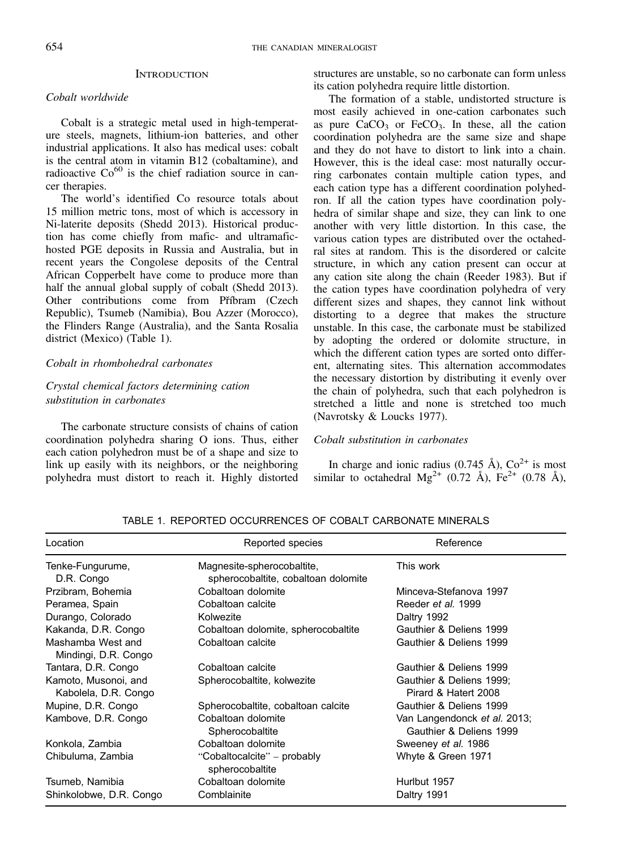### **INTRODUCTION**

# Cobalt worldwide

Cobalt is a strategic metal used in high-temperature steels, magnets, lithium-ion batteries, and other industrial applications. It also has medical uses: cobalt is the central atom in vitamin B12 (cobaltamine), and radioactive  $Co^{60}$  is the chief radiation source in cancer therapies.

The world's identified Co resource totals about 15 million metric tons, most of which is accessory in Ni-laterite deposits (Shedd 2013). Historical production has come chiefly from mafic- and ultramafichosted PGE deposits in Russia and Australia, but in recent years the Congolese deposits of the Central African Copperbelt have come to produce more than half the annual global supply of cobalt (Shedd 2013). Other contributions come from Příbram (Czech Republic), Tsumeb (Namibia), Bou Azzer (Morocco), the Flinders Range (Australia), and the Santa Rosalia district (Mexico) (Table 1).

# Cobalt in rhombohedral carbonates

# Crystal chemical factors determining cation substitution in carbonates

The carbonate structure consists of chains of cation coordination polyhedra sharing O ions. Thus, either each cation polyhedron must be of a shape and size to link up easily with its neighbors, or the neighboring polyhedra must distort to reach it. Highly distorted

structures are unstable, so no carbonate can form unless its cation polyhedra require little distortion.

The formation of a stable, undistorted structure is most easily achieved in one-cation carbonates such as pure  $CaCO<sub>3</sub>$  or  $FeCO<sub>3</sub>$ . In these, all the cation coordination polyhedra are the same size and shape and they do not have to distort to link into a chain. However, this is the ideal case: most naturally occurring carbonates contain multiple cation types, and each cation type has a different coordination polyhedron. If all the cation types have coordination polyhedra of similar shape and size, they can link to one another with very little distortion. In this case, the various cation types are distributed over the octahedral sites at random. This is the disordered or calcite structure, in which any cation present can occur at any cation site along the chain (Reeder 1983). But if the cation types have coordination polyhedra of very different sizes and shapes, they cannot link without distorting to a degree that makes the structure unstable. In this case, the carbonate must be stabilized by adopting the ordered or dolomite structure, in which the different cation types are sorted onto different, alternating sites. This alternation accommodates the necessary distortion by distributing it evenly over the chain of polyhedra, such that each polyhedron is stretched a little and none is stretched too much (Navrotsky & Loucks 1977).

### Cobalt substitution in carbonates

In charge and ionic radius (0.745 Å),  $Co<sup>2+</sup>$  is most similar to octahedral  $Mg^{2+}$  (0.72 Å),  $Fe^{2+}$  (0.78 Å),

| Location                                     | Reported species                                                  | Reference                                               |
|----------------------------------------------|-------------------------------------------------------------------|---------------------------------------------------------|
| Tenke-Fungurume,<br>D.R. Congo               | Magnesite-spherocobaltite,<br>spherocobaltite, cobaltoan dolomite | This work                                               |
| Przibram, Bohemia                            | Cobaltoan dolomite                                                | Minceva-Stefanova 1997                                  |
| Peramea, Spain                               | Cobaltoan calcite                                                 | Reeder et al. 1999                                      |
| Durango, Colorado                            | Kolwezite                                                         | Daltry 1992                                             |
| Kakanda, D.R. Congo                          | Cobaltoan dolomite, spherocobaltite                               | Gauthier & Deliens 1999                                 |
| Mashamba West and<br>Mindingi, D.R. Congo    | Cobaltoan calcite                                                 | Gauthier & Deliens 1999                                 |
| Tantara, D.R. Congo                          | Cobaltoan calcite                                                 | Gauthier & Deliens 1999                                 |
| Kamoto, Musonoi, and<br>Kabolela, D.R. Congo | Spherocobaltite, kolwezite                                        | Gauthier & Deliens 1999;<br>Pirard & Hatert 2008        |
| Mupine, D.R. Congo                           | Spherocobaltite, cobaltoan calcite                                | Gauthier & Deliens 1999                                 |
| Kambove, D.R. Congo                          | Cobaltoan dolomite<br>Spherocobaltite                             | Van Langendonck et al. 2013;<br>Gauthier & Deliens 1999 |
| Konkola, Zambia                              | Cobaltoan dolomite                                                | Sweeney et al. 1986                                     |
| Chibuluma, Zambia                            | "Cobaltocalcite" – probably<br>spherocobaltite                    | Whyte & Green 1971                                      |
| Tsumeb, Namibia                              | Cobaltoan dolomite                                                | Hurlbut 1957                                            |
| Shinkolobwe, D.R. Congo                      | Comblainite                                                       | Daltry 1991                                             |

TABLE 1. REPORTED OCCURRENCES OF COBALT CARBONATE MINERALS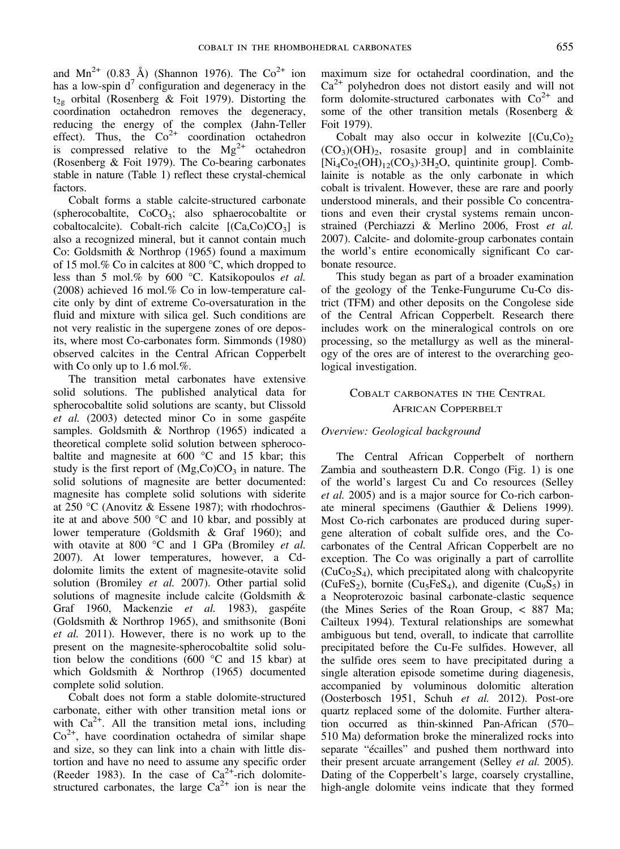and  $Mn^{2+}$  (0.83 Å) (Shannon 1976). The Co<sup>2+</sup> ion has a low-spin  $d^7$  configuration and degeneracy in the  $t_{2g}$  orbital (Rosenberg & Foit 1979). Distorting the coordination octahedron removes the degeneracy, reducing the energy of the complex (Jahn-Teller effect). Thus, the  $Co^{2+}$  coordination octahedron is compressed relative to the  $Mg^{2+}$  octahedron (Rosenberg & Foit 1979). The Co-bearing carbonates stable in nature (Table 1) reflect these crystal-chemical factors.

Cobalt forms a stable calcite-structured carbonate (spherocobaltite,  $CoCO<sub>3</sub>$ ; also sphaerocobaltite or cobaltocalcite). Cobalt-rich calcite  $[(Ca, Co)CO<sub>3</sub>]$  is also a recognized mineral, but it cannot contain much Co: Goldsmith & Northrop (1965) found a maximum of 15 mol.% Co in calcites at 800 °C, which dropped to less than 5 mol.% by 600 °C. Katsikopoulos et al. (2008) achieved 16 mol.% Co in low-temperature calcite only by dint of extreme Co-oversaturation in the fluid and mixture with silica gel. Such conditions are not very realistic in the supergene zones of ore deposits, where most Co-carbonates form. Simmonds (1980) observed calcites in the Central African Copperbelt with Co only up to 1.6 mol.%.

The transition metal carbonates have extensive solid solutions. The published analytical data for spherocobaltite solid solutions are scanty, but Clissold et al. (2003) detected minor Co in some gaspéite samples. Goldsmith & Northrop (1965) indicated a theoretical complete solid solution between spherocobaltite and magnesite at 600 °C and 15 kbar; this study is the first report of  $(Mg,Co)CO<sub>3</sub>$  in nature. The solid solutions of magnesite are better documented: magnesite has complete solid solutions with siderite at 250 °C (Anovitz & Essene 1987); with rhodochrosite at and above 500 °C and 10 kbar, and possibly at lower temperature (Goldsmith & Graf 1960); and with otavite at 800  $^{\circ}$ C and 1 GPa (Bromiley *et al.* 2007). At lower temperatures, however, a Cddolomite limits the extent of magnesite-otavite solid solution (Bromiley et al. 2007). Other partial solid solutions of magnesite include calcite (Goldsmith & Graf 1960, Mackenzie et al. 1983), gaspéite (Goldsmith & Northrop 1965), and smithsonite (Boni et al. 2011). However, there is no work up to the present on the magnesite-spherocobaltite solid solution below the conditions (600 °C and 15 kbar) at which Goldsmith & Northrop (1965) documented complete solid solution.

Cobalt does not form a stable dolomite-structured carbonate, either with other transition metal ions or with  $Ca^{2+}$ . All the transition metal ions, including  $Co<sup>2+</sup>$ , have coordination octahedra of similar shape and size, so they can link into a chain with little distortion and have no need to assume any specific order (Reeder 1983). In the case of  $Ca^{2+}$ -rich dolomitestructured carbonates, the large  $Ca^{2+}$  ion is near the

maximum size for octahedral coordination, and the  $Ca^{2+}$  polyhedron does not distort easily and will not form dolomite-structured carbonates with  $Co<sup>2+</sup>$  and some of the other transition metals (Rosenberg & Foit 1979).

Cobalt may also occur in kolwezite  $[(Cu,Co)_2]$  $(CO<sub>3</sub>)(OH)<sub>2</sub>$ , rosasite group] and in comblainite  $[Ni_4Co_2(OH)_{12}(CO_3)\cdot 3H_2O$ , quintinite group]. Comblainite is notable as the only carbonate in which cobalt is trivalent. However, these are rare and poorly understood minerals, and their possible Co concentrations and even their crystal systems remain unconstrained (Perchiazzi & Merlino 2006, Frost et al. 2007). Calcite- and dolomite-group carbonates contain the world's entire economically significant Co carbonate resource.

This study began as part of a broader examination of the geology of the Tenke-Fungurume Cu-Co district (TFM) and other deposits on the Congolese side of the Central African Copperbelt. Research there includes work on the mineralogical controls on ore processing, so the metallurgy as well as the mineralogy of the ores are of interest to the overarching geological investigation.

# COBALT CARBONATES IN THE CENTRAL AFRICAN COPPERBELT

# Overview: Geological background

The Central African Copperbelt of northern Zambia and southeastern D.R. Congo (Fig. 1) is one of the world's largest Cu and Co resources (Selley et al. 2005) and is a major source for Co-rich carbonate mineral specimens (Gauthier & Deliens 1999). Most Co-rich carbonates are produced during supergene alteration of cobalt sulfide ores, and the Cocarbonates of the Central African Copperbelt are no exception. The Co was originally a part of carrollite  $(CuCo<sub>2</sub>S<sub>4</sub>)$ , which precipitated along with chalcopyrite (CuFeS<sub>2</sub>), bornite (Cu<sub>5</sub>FeS<sub>4</sub>), and digenite (Cu<sub>9</sub>S<sub>5</sub>) in a Neoproterozoic basinal carbonate-clastic sequence (the Mines Series of the Roan Group, < 887 Ma; Cailteux 1994). Textural relationships are somewhat ambiguous but tend, overall, to indicate that carrollite precipitated before the Cu-Fe sulfides. However, all the sulfide ores seem to have precipitated during a single alteration episode sometime during diagenesis, accompanied by voluminous dolomitic alteration (Oosterbosch 1951, Schuh et al. 2012). Post-ore quartz replaced some of the dolomite. Further alteration occurred as thin-skinned Pan-African (570– 510 Ma) deformation broke the mineralized rocks into separate "écailles" and pushed them northward into their present arcuate arrangement (Selley *et al.* 2005). Dating of the Copperbelt's large, coarsely crystalline, high-angle dolomite veins indicate that they formed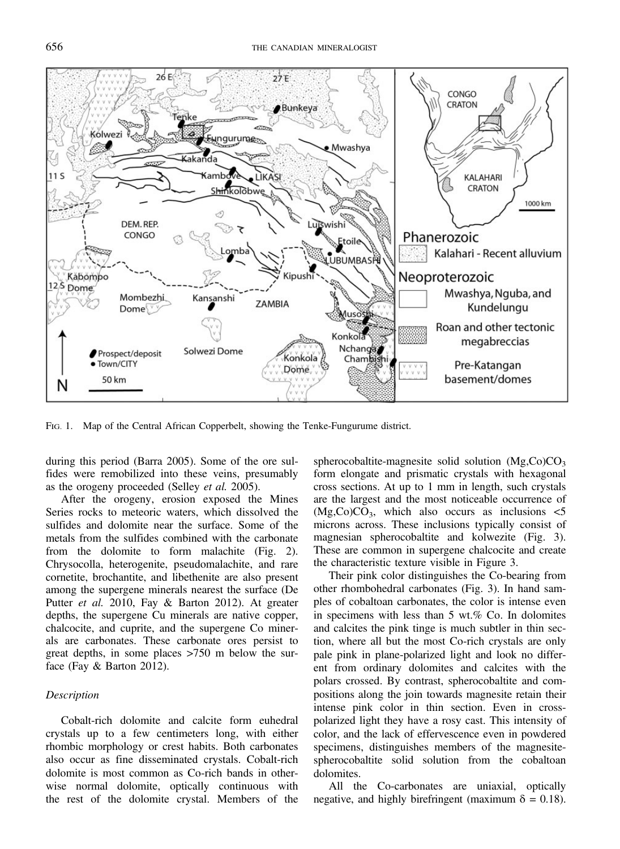

FIG. 1. Map of the Central African Copperbelt, showing the Tenke-Fungurume district.

during this period (Barra 2005). Some of the ore sulfides were remobilized into these veins, presumably as the orogeny proceeded (Selley et al. 2005).

After the orogeny, erosion exposed the Mines Series rocks to meteoric waters, which dissolved the sulfides and dolomite near the surface. Some of the metals from the sulfides combined with the carbonate from the dolomite to form malachite (Fig. 2). Chrysocolla, heterogenite, pseudomalachite, and rare cornetite, brochantite, and libethenite are also present among the supergene minerals nearest the surface (De Putter et al. 2010, Fay & Barton 2012). At greater depths, the supergene Cu minerals are native copper, chalcocite, and cuprite, and the supergene Co minerals are carbonates. These carbonate ores persist to great depths, in some places >750 m below the surface (Fay & Barton 2012).

# **Description**

Cobalt-rich dolomite and calcite form euhedral crystals up to a few centimeters long, with either rhombic morphology or crest habits. Both carbonates also occur as fine disseminated crystals. Cobalt-rich dolomite is most common as Co-rich bands in otherwise normal dolomite, optically continuous with the rest of the dolomite crystal. Members of the spherocobaltite-magnesite solid solution  $(Mg,Co)CO<sub>3</sub>$ form elongate and prismatic crystals with hexagonal cross sections. At up to 1 mm in length, such crystals are the largest and the most noticeable occurrence of  $(Mg,Co)CO<sub>3</sub>$ , which also occurs as inclusions  $\lt 5$ microns across. These inclusions typically consist of magnesian spherocobaltite and kolwezite (Fig. 3). These are common in supergene chalcocite and create the characteristic texture visible in Figure 3.

Their pink color distinguishes the Co-bearing from other rhombohedral carbonates (Fig. 3). In hand samples of cobaltoan carbonates, the color is intense even in specimens with less than 5 wt.% Co. In dolomites and calcites the pink tinge is much subtler in thin section, where all but the most Co-rich crystals are only pale pink in plane-polarized light and look no different from ordinary dolomites and calcites with the polars crossed. By contrast, spherocobaltite and compositions along the join towards magnesite retain their intense pink color in thin section. Even in crosspolarized light they have a rosy cast. This intensity of color, and the lack of effervescence even in powdered specimens, distinguishes members of the magnesitespherocobaltite solid solution from the cobaltoan dolomites.

All the Co-carbonates are uniaxial, optically negative, and highly birefringent (maximum  $\delta = 0.18$ ).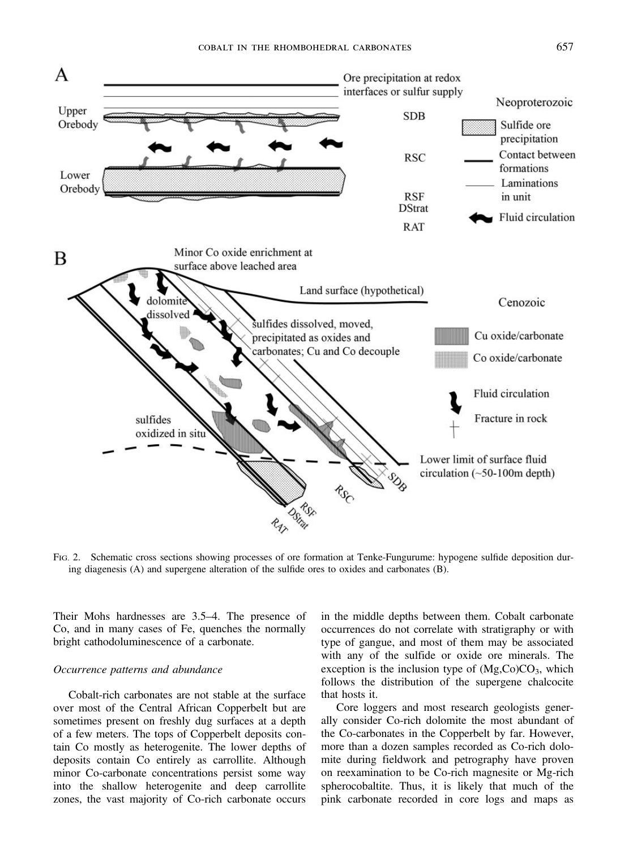

FIG. 2. Schematic cross sections showing processes of ore formation at Tenke-Fungurume: hypogene sulfide deposition during diagenesis (A) and supergene alteration of the sulfide ores to oxides and carbonates (B).

Their Mohs hardnesses are 3.5–4. The presence of Co, and in many cases of Fe, quenches the normally bright cathodoluminescence of a carbonate.

### Occurrence patterns and abundance

Cobalt-rich carbonates are not stable at the surface over most of the Central African Copperbelt but are sometimes present on freshly dug surfaces at a depth of a few meters. The tops of Copperbelt deposits contain Co mostly as heterogenite. The lower depths of deposits contain Co entirely as carrollite. Although minor Co-carbonate concentrations persist some way into the shallow heterogenite and deep carrollite zones, the vast majority of Co-rich carbonate occurs

in the middle depths between them. Cobalt carbonate occurrences do not correlate with stratigraphy or with type of gangue, and most of them may be associated with any of the sulfide or oxide ore minerals. The exception is the inclusion type of  $(Mg,Co)CO<sub>3</sub>$ , which follows the distribution of the supergene chalcocite that hosts it.

Core loggers and most research geologists generally consider Co-rich dolomite the most abundant of the Co-carbonates in the Copperbelt by far. However, more than a dozen samples recorded as Co-rich dolomite during fieldwork and petrography have proven on reexamination to be Co-rich magnesite or Mg-rich spherocobaltite. Thus, it is likely that much of the pink carbonate recorded in core logs and maps as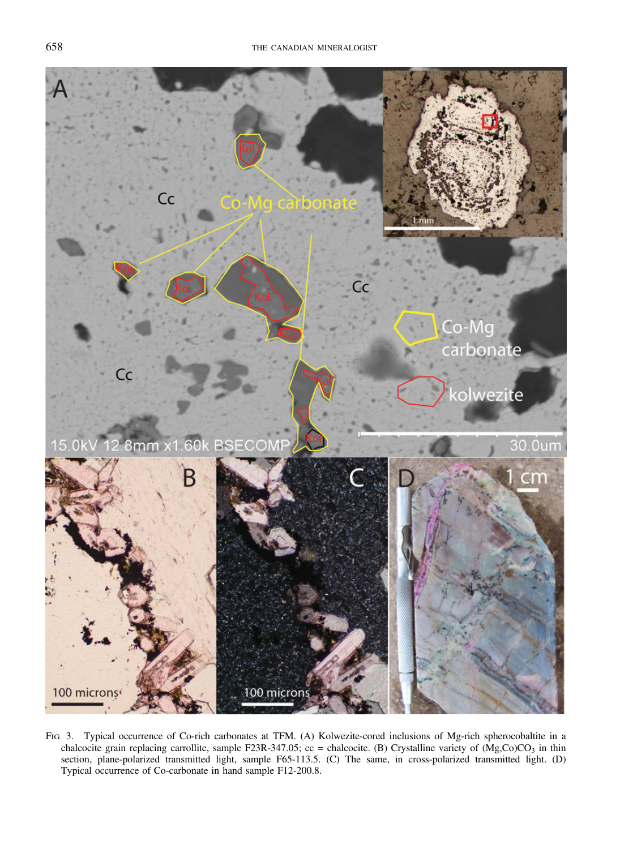

FIG. 3. Typical occurrence of Co-rich carbonates at TFM. (A) Kolwezite-cored inclusions of Mg-rich spherocobaltite in a chalcocite grain replacing carrollite, sample F23R-347.05; cc = chalcocite. (B) Crystalline variety of  $(Mg,Co)CO<sub>3</sub>$  in thin section, plane-polarized transmitted light, sample F65-113.5. (C) The same, in cross-polarized transmitted light. (D) Typical occurrence of Co-carbonate in hand sample F12-200.8.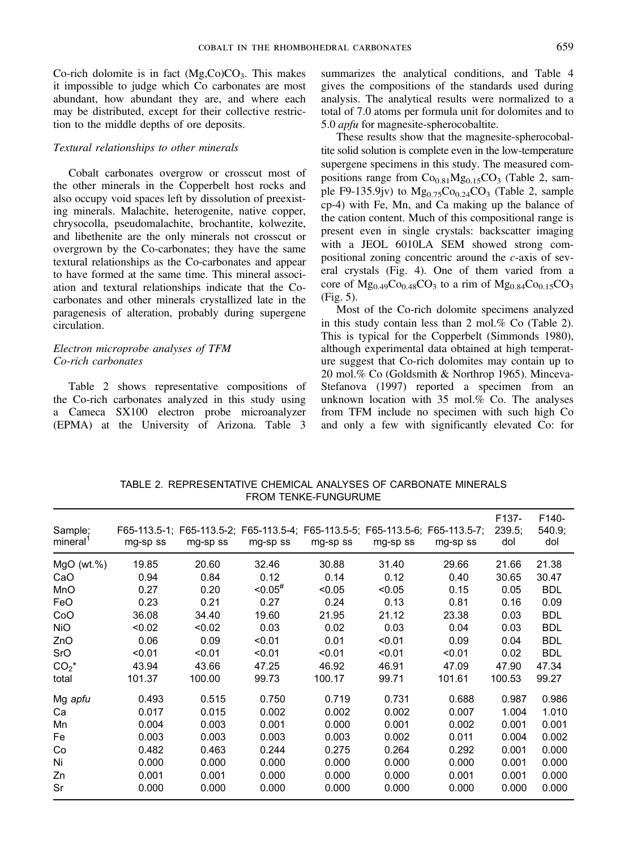Co-rich dolomite is in fact  $(Mg,Co)CO<sub>3</sub>$ . This makes it impossible to judge which Co carbonates are most abundant, how abundant they are, and where each may be distributed, except for their collective restriction to the middle depths of ore deposits.

#### Textural relationships to other minerals

Cobalt carbonates overgrow or crosscut most of the other minerals in the Copperbelt host rocks and also occupy void spaces left by dissolution of preexisting minerals. Malachite, heterogenite, native copper, chrysocolla, pseudomalachite, brochantite, kolwezite, and libethenite are the only minerals not crosscut or overgrown by the Co-carbonates; they have the same textural relationships as the Co-carbonates and appear to have formed at the same time. This mineral association and textural relationships indicate that the Cocarbonates and other minerals crystallized late in the paragenesis of alteration, probably during supergene circulation.

# Electron microprobe analyses of TFM Co-rich carbonates

Table 2 shows representative compositions of the Co-rich carbonates analyzed in this study using a Cameca SX100 electron probe microanalyzer (EPMA) at the University of Arizona. Table 3 summarizes the analytical conditions, and Table 4 gives the compositions of the standards used during analysis. The analytical results were normalized to a total of 7.0 atoms per formula unit for dolomites and to 5.0 apfu for magnesite-spherocobaltite.

These results show that the magnesite-spherocobaltite solid solution is complete even in the low-temperature supergene specimens in this study. The measured compositions range from  $Co<sub>0.81</sub>Mg<sub>0.15</sub>CO<sub>3</sub>$  (Table 2, sample F9-135.9jv) to  $Mg_{0.75}Co_{0.24}CO_3$  (Table 2, sample cp-4) with Fe, Mn, and Ca making up the balance of the cation content. Much of this compositional range is present even in single crystals: backscatter imaging with a JEOL 6010LA SEM showed strong compositional zoning concentric around the c-axis of several crystals (Fig. 4). One of them varied from a core of  $Mg_{0.49}Co_{0.48}CO_3$  to a rim of  $Mg_{0.84}Co_{0.15}CO_3$ (Fig. 5).

Most of the Co-rich dolomite specimens analyzed in this study contain less than 2 mol.% Co (Table 2). This is typical for the Copperbelt (Simmonds 1980), although experimental data obtained at high temperature suggest that Co-rich dolomites may contain up to 20 mol.% Co (Goldsmith & Northrop 1965). Minceva-Stefanova (1997) reported a specimen from an unknown location with 35 mol.% Co. The analyses from TFM include no specimen with such high Co and only a few with significantly elevated Co: for

TABLE 2. REPRESENTATIVE CHEMICAL ANALYSES OF CARBONATE MINERALS FROM TENKE-FUNGURUME

| Sample;<br>mineral | mg-sp ss | F65-113.5-1; F65-113.5-2; F65-113.5-4; F65-113.5-5; F65-113.5-6; F65-113.5-7;<br>mg-sp ss | mg-sp ss      | mg-sp ss | mg-sp ss | mg-sp ss | F <sub>137</sub> -<br>239.5.<br>dol | F140-<br>540.9;<br>dol |
|--------------------|----------|-------------------------------------------------------------------------------------------|---------------|----------|----------|----------|-------------------------------------|------------------------|
| $MqO$ (wt.%)       | 19.85    | 20.60                                                                                     | 32.46         | 30.88    | 31.40    | 29.66    | 21.66                               | 21.38                  |
| CaO                | 0.94     | 0.84                                                                                      | 0.12          | 0.14     | 0.12     | 0.40     | 30.65                               | 30.47                  |
| <b>MnO</b>         | 0.27     | 0.20                                                                                      | $< 0.05^{\#}$ | < 0.05   | < 0.05   | 0.15     | 0.05                                | <b>BDL</b>             |
| FeO                | 0.23     | 0.21                                                                                      | 0.27          | 0.24     | 0.13     | 0.81     | 0.16                                | 0.09                   |
| CoO                | 36.08    | 34.40                                                                                     | 19.60         | 21.95    | 21.12    | 23.38    | 0.03                                | <b>BDL</b>             |
| <b>NiO</b>         | < 0.02   | < 0.02                                                                                    | 0.03          | 0.02     | 0.03     | 0.04     | 0.03                                | <b>BDL</b>             |
| ZnO                | 0.06     | 0.09                                                                                      | < 0.01        | 0.01     | < 0.01   | 0.09     | 0.04                                | <b>BDL</b>             |
| SrO                | < 0.01   | < 0.01                                                                                    | < 0.01        | < 0.01   | < 0.01   | < 0.01   | 0.02                                | <b>BDL</b>             |
| $CO2*$             | 43.94    | 43.66                                                                                     | 47.25         | 46.92    | 46.91    | 47.09    | 47.90                               | 47.34                  |
| total              | 101.37   | 100.00                                                                                    | 99.73         | 100.17   | 99.71    | 101.61   | 100.53                              | 99.27                  |
| Mg apfu            | 0.493    | 0.515                                                                                     | 0.750         | 0.719    | 0.731    | 0.688    | 0.987                               | 0.986                  |
| Ca                 | 0.017    | 0.015                                                                                     | 0.002         | 0.002    | 0.002    | 0.007    | 1.004                               | 1.010                  |
| Mn                 | 0.004    | 0.003                                                                                     | 0.001         | 0.000    | 0.001    | 0.002    | 0.001                               | 0.001                  |
| Fe                 | 0.003    | 0.003                                                                                     | 0.003         | 0.003    | 0.002    | 0.011    | 0.004                               | 0.002                  |
| Co                 | 0.482    | 0.463                                                                                     | 0.244         | 0.275    | 0.264    | 0.292    | 0.001                               | 0.000                  |
| Ni                 | 0.000    | 0.000                                                                                     | 0.000         | 0.000    | 0.000    | 0.000    | 0.001                               | 0.000                  |
| Zn                 | 0.001    | 0.001                                                                                     | 0.000         | 0.000    | 0.000    | 0.001    | 0.001                               | 0.000                  |
| Sr                 | 0.000    | 0.000                                                                                     | 0.000         | 0.000    | 0.000    | 0.000    | 0.000                               | 0.000                  |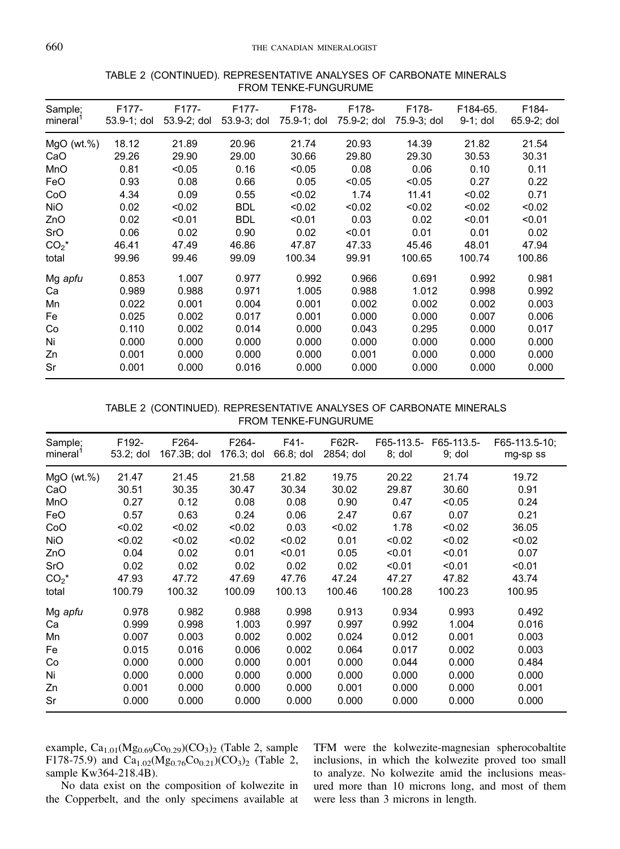| Sample;<br>mineral <sup>1</sup> | F177-<br>53.9-1; dol | F177-<br>53.9-2; dol | F177-<br>53.9-3; dol | F178-<br>75.9-1; dol | F178-<br>75.9-2; dol | F178-<br>75.9-3; dol | F184-65.<br>$9-1$ ; dol | F184-<br>$65.9 - 2$ ; dol |
|---------------------------------|----------------------|----------------------|----------------------|----------------------|----------------------|----------------------|-------------------------|---------------------------|
| $MgO$ (wt.%)                    | 18.12                | 21.89                | 20.96                | 21.74                | 20.93                | 14.39                | 21.82                   | 21.54                     |
| CaO                             | 29.26                | 29.90                | 29.00                | 30.66                | 29.80                | 29.30                | 30.53                   | 30.31                     |
| MnO                             | 0.81                 | < 0.05               | 0.16                 | < 0.05               | 0.08                 | 0.06                 | 0.10                    | 0.11                      |
| FeO                             | 0.93                 | 0.08                 | 0.66                 | 0.05                 | < 0.05               | < 0.05               | 0.27                    | 0.22                      |
| CoO                             | 4.34                 | 0.09                 | 0.55                 | < 0.02               | 1.74                 | 11.41                | < 0.02                  | 0.71                      |
| <b>NiO</b>                      | 0.02                 | < 0.02               | <b>BDL</b>           | < 0.02               | < 0.02               | < 0.02               | < 0.02                  | < 0.02                    |
| ZnO                             | 0.02                 | < 0.01               | <b>BDL</b>           | < 0.01               | 0.03                 | 0.02                 | < 0.01                  | < 0.01                    |
| SrO                             | 0.06                 | 0.02                 | 0.90                 | 0.02                 | < 0.01               | 0.01                 | 0.01                    | 0.02                      |
| $CO2*$                          | 46.41                | 47.49                | 46.86                | 47.87                | 47.33                | 45.46                | 48.01                   | 47.94                     |
| total                           | 99.96                | 99.46                | 99.09                | 100.34               | 99.91                | 100.65               | 100.74                  | 100.86                    |
| Mg apfu                         | 0.853                | 1.007                | 0.977                | 0.992                | 0.966                | 0.691                | 0.992                   | 0.981                     |
| Ca                              | 0.989                | 0.988                | 0.971                | 1.005                | 0.988                | 1.012                | 0.998                   | 0.992                     |
| Mn                              | 0.022                | 0.001                | 0.004                | 0.001                | 0.002                | 0.002                | 0.002                   | 0.003                     |
| Fe                              | 0.025                | 0.002                | 0.017                | 0.001                | 0.000                | 0.000                | 0.007                   | 0.006                     |
| Co                              | 0.110                | 0.002                | 0.014                | 0.000                | 0.043                | 0.295                | 0.000                   | 0.017                     |
| Ni                              | 0.000                | 0.000                | 0.000                | 0.000                | 0.000                | 0.000                | 0.000                   | 0.000                     |
| Zn                              | 0.001                | 0.000                | 0.000                | 0.000                | 0.001                | 0.000                | 0.000                   | 0.000                     |
| Sr                              | 0.001                | 0.000                | 0.016                | 0.000                | 0.000                | 0.000                | 0.000                   | 0.000                     |

# TABLE 2 (CONTINUED). REPRESENTATIVE ANALYSES OF CARBONATE MINERALS FROM TENKE-FUNGURUME

# TABLE 2 (CONTINUED). REPRESENTATIVE ANALYSES OF CARBONATE MINERALS FROM TENKE-FUNGURUME

| Sample;<br>mineral <sup>1</sup> | F192-<br>53.2; dol | F264-<br>167.3B; dol | F264-<br>176.3; dol | F41-<br>66.8; dol | F62R-<br>2854; dol | F65-113.5-<br>$8;$ dol | F65-113.5-<br>$9;$ dol | F65-113.5-10;<br>mg-sp ss |
|---------------------------------|--------------------|----------------------|---------------------|-------------------|--------------------|------------------------|------------------------|---------------------------|
| $MgO$ (wt.%)                    | 21.47              | 21.45                | 21.58               | 21.82             | 19.75              | 20.22                  | 21.74                  | 19.72                     |
| CaO                             | 30.51              | 30.35                | 30.47               | 30.34             | 30.02              | 29.87                  | 30.60                  | 0.91                      |
| MnO                             | 0.27               | 0.12                 | 0.08                | 0.08              | 0.90               | 0.47                   | < 0.05                 | 0.24                      |
| <b>FeO</b>                      | 0.57               | 0.63                 | 0.24                | 0.06              | 2.47               | 0.67                   | 0.07                   | 0.21                      |
| CoO                             | < 0.02             | < 0.02               | < 0.02              | 0.03              | < 0.02             | 1.78                   | < 0.02                 | 36.05                     |
| <b>NiO</b>                      | < 0.02             | < 0.02               | < 0.02              | < 0.02            | 0.01               | < 0.02                 | < 0.02                 | < 0.02                    |
| ZnO                             | 0.04               | 0.02                 | 0.01                | < 0.01            | 0.05               | < 0.01                 | < 0.01                 | 0.07                      |
| SrO                             | 0.02               | 0.02                 | 0.02                | 0.02              | 0.02               | < 0.01                 | < 0.01                 | < 0.01                    |
| $CO2*$                          | 47.93              | 47.72                | 47.69               | 47.76             | 47.24              | 47.27                  | 47.82                  | 43.74                     |
| total                           | 100.79             | 100.32               | 100.09              | 100.13            | 100.46             | 100.28                 | 100.23                 | 100.95                    |
| Mg apfu                         | 0.978              | 0.982                | 0.988               | 0.998             | 0.913              | 0.934                  | 0.993                  | 0.492                     |
| Ca                              | 0.999              | 0.998                | 1.003               | 0.997             | 0.997              | 0.992                  | 1.004                  | 0.016                     |
| Mn                              | 0.007              | 0.003                | 0.002               | 0.002             | 0.024              | 0.012                  | 0.001                  | 0.003                     |
| Fe                              | 0.015              | 0.016                | 0.006               | 0.002             | 0.064              | 0.017                  | 0.002                  | 0.003                     |
| Co                              | 0.000              | 0.000                | 0.000               | 0.001             | 0.000              | 0.044                  | 0.000                  | 0.484                     |
| Ni                              | 0.000              | 0.000                | 0.000               | 0.000             | 0.000              | 0.000                  | 0.000                  | 0.000                     |
| Zn                              | 0.001              | 0.000                | 0.000               | 0.000             | 0.001              | 0.000                  | 0.000                  | 0.001                     |
| Sr                              | 0.000              | 0.000                | 0.000               | 0.000             | 0.000              | 0.000                  | 0.000                  | 0.000                     |

example,  $Ca_{1.01}(Mg_{0.69}Co_{0.29})(CO_3)_2$  (Table 2, sample F178-75.9) and Ca<sub>1.02</sub>(Mg<sub>0.76</sub>Co<sub>0.21</sub>)(CO<sub>3</sub>)<sub>2</sub> (Table 2, sample Kw364-218.4B).

No data exist on the composition of kolwezite in the Copperbelt, and the only specimens available at TFM were the kolwezite-magnesian spherocobaltite inclusions, in which the kolwezite proved too small to analyze. No kolwezite amid the inclusions measured more than 10 microns long, and most of them were less than 3 microns in length.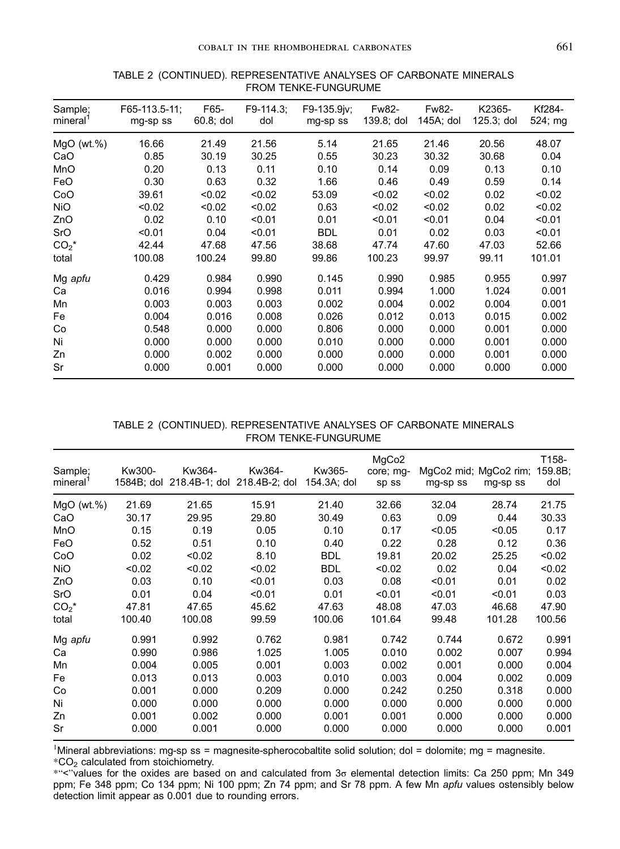| Sample;<br>mineral <sup>1</sup> | F65-113.5-11;<br>mq-sp ss | F65-<br>60.8; dol | F9-114.3.<br>dol | F9-135.9jv;<br>mg-sp ss | Fw82-<br>139.8; dol | Fw82-<br>145A; dol | K2365-<br>$125.3;$ dol | Kf284-<br>524; mg |
|---------------------------------|---------------------------|-------------------|------------------|-------------------------|---------------------|--------------------|------------------------|-------------------|
| $MqO$ (wt.%)                    | 16.66                     | 21.49             | 21.56            | 5.14                    | 21.65               | 21.46              | 20.56                  | 48.07             |
| CaO                             | 0.85                      | 30.19             | 30.25            | 0.55                    | 30.23               | 30.32              | 30.68                  | 0.04              |
| MnO                             | 0.20                      | 0.13              | 0.11             | 0.10                    | 0.14                | 0.09               | 0.13                   | 0.10              |
| FeO                             | 0.30                      | 0.63              | 0.32             | 1.66                    | 0.46                | 0.49               | 0.59                   | 0.14              |
| CoO                             | 39.61                     | < 0.02            | < 0.02           | 53.09                   | < 0.02              | < 0.02             | 0.02                   | < 0.02            |
| <b>NiO</b>                      | < 0.02                    | < 0.02            | < 0.02           | 0.63                    | < 0.02              | < 0.02             | 0.02                   | < 0.02            |
| ZnO                             | 0.02                      | 0.10              | < 0.01           | 0.01                    | < 0.01              | < 0.01             | 0.04                   | < 0.01            |
| SrO                             | < 0.01                    | 0.04              | < 0.01           | <b>BDL</b>              | 0.01                | 0.02               | 0.03                   | < 0.01            |
| $CO2*$                          | 42.44                     | 47.68             | 47.56            | 38.68                   | 47.74               | 47.60              | 47.03                  | 52.66             |
| total                           | 100.08                    | 100.24            | 99.80            | 99.86                   | 100.23              | 99.97              | 99.11                  | 101.01            |
| Mg apfu                         | 0.429                     | 0.984             | 0.990            | 0.145                   | 0.990               | 0.985              | 0.955                  | 0.997             |
| Ca                              | 0.016                     | 0.994             | 0.998            | 0.011                   | 0.994               | 1.000              | 1.024                  | 0.001             |
| Mn                              | 0.003                     | 0.003             | 0.003            | 0.002                   | 0.004               | 0.002              | 0.004                  | 0.001             |
| Fe                              | 0.004                     | 0.016             | 0.008            | 0.026                   | 0.012               | 0.013              | 0.015                  | 0.002             |
| Co                              | 0.548                     | 0.000             | 0.000            | 0.806                   | 0.000               | 0.000              | 0.001                  | 0.000             |
| Ni                              | 0.000                     | 0.000             | 0.000            | 0.010                   | 0.000               | 0.000              | 0.001                  | 0.000             |
| Zn                              | 0.000                     | 0.002             | 0.000            | 0.000                   | 0.000               | 0.000              | 0.001                  | 0.000             |
| Sr                              | 0.000                     | 0.001             | 0.000            | 0.000                   | 0.000               | 0.000              | 0.000                  | 0.000             |

# TABLE 2 (CONTINUED). REPRESENTATIVE ANALYSES OF CARBONATE MINERALS FROM TENKE-FUNGURUME

# TABLE 2 (CONTINUED). REPRESENTATIVE ANALYSES OF CARBONATE MINERALS FROM TENKE-FUNGURUME

| Sample;<br>mineral <sup>1</sup> | Kw300-<br>1584B; dol | Kw364-<br>218.4B-1; dol | Kw364-<br>218.4B-2; dol | Kw365-<br>154.3A; dol | MgCo <sub>2</sub><br>core; mq-<br>sp ss | MgCo2 mid; MgCo2 rim;<br>mg-sp ss | mg-sp ss | T158-<br>159.8B;<br>dol |
|---------------------------------|----------------------|-------------------------|-------------------------|-----------------------|-----------------------------------------|-----------------------------------|----------|-------------------------|
| $MgO$ (wt.%)                    | 21.69                | 21.65                   | 15.91                   | 21.40                 | 32.66                                   | 32.04                             | 28.74    | 21.75                   |
| CaO                             | 30.17                | 29.95                   | 29.80                   | 30.49                 | 0.63                                    | 0.09                              | 0.44     | 30.33                   |
| MnO                             | 0.15                 | 0.19                    | 0.05                    | 0.10                  | 0.17                                    | < 0.05                            | < 0.05   | 0.17                    |
| FeO                             | 0.52                 | 0.51                    | 0.10                    | 0.40                  | 0.22                                    | 0.28                              | 0.12     | 0.36                    |
| CoO                             | 0.02                 | < 0.02                  | 8.10                    | <b>BDL</b>            | 19.81                                   | 20.02                             | 25.25    | < 0.02                  |
| <b>NiO</b>                      | < 0.02               | < 0.02                  | < 0.02                  | <b>BDL</b>            | < 0.02                                  | 0.02                              | 0.04     | < 0.02                  |
| ZnO                             | 0.03                 | 0.10                    | < 0.01                  | 0.03                  | 0.08                                    | < 0.01                            | 0.01     | 0.02                    |
| SrO                             | 0.01                 | 0.04                    | < 0.01                  | 0.01                  | < 0.01                                  | < 0.01                            | < 0.01   | 0.03                    |
| $CO2*$                          | 47.81                | 47.65                   | 45.62                   | 47.63                 | 48.08                                   | 47.03                             | 46.68    | 47.90                   |
| total                           | 100.40               | 100.08                  | 99.59                   | 100.06                | 101.64                                  | 99.48                             | 101.28   | 100.56                  |
| Mg apfu                         | 0.991                | 0.992                   | 0.762                   | 0.981                 | 0.742                                   | 0.744                             | 0.672    | 0.991                   |
| Ca                              | 0.990                | 0.986                   | 1.025                   | 1.005                 | 0.010                                   | 0.002                             | 0.007    | 0.994                   |
| Mn                              | 0.004                | 0.005                   | 0.001                   | 0.003                 | 0.002                                   | 0.001                             | 0.000    | 0.004                   |
| Fe                              | 0.013                | 0.013                   | 0.003                   | 0.010                 | 0.003                                   | 0.004                             | 0.002    | 0.009                   |
| Co                              | 0.001                | 0.000                   | 0.209                   | 0.000                 | 0.242                                   | 0.250                             | 0.318    | 0.000                   |
| Ni                              | 0.000                | 0.000                   | 0.000                   | 0.000                 | 0.000                                   | 0.000                             | 0.000    | 0.000                   |
| Zn                              | 0.001                | 0.002                   | 0.000                   | 0.001                 | 0.001                                   | 0.000                             | 0.000    | 0.000                   |
| Sr                              | 0.000                | 0.001                   | 0.000                   | 0.000                 | 0.000                                   | 0.000                             | 0.000    | 0.001                   |

<sup>1</sup>Mineral abbreviations: mg-sp ss = magnesite-spherocobaltite solid solution; dol = dolomite; mg = magnesite.  $*CO<sub>2</sub>$  calculated from stoichiometry.

\*"<"values for the oxides are based on and calculated from 3σ elemental detection limits: Ca 250 ppm; Mn 349 ppm; Fe 348 ppm; Co 134 ppm; Ni 100 ppm; Zn 74 ppm; and Sr 78 ppm. A few Mn apfu values ostensibly below detection limit appear as 0.001 due to rounding errors.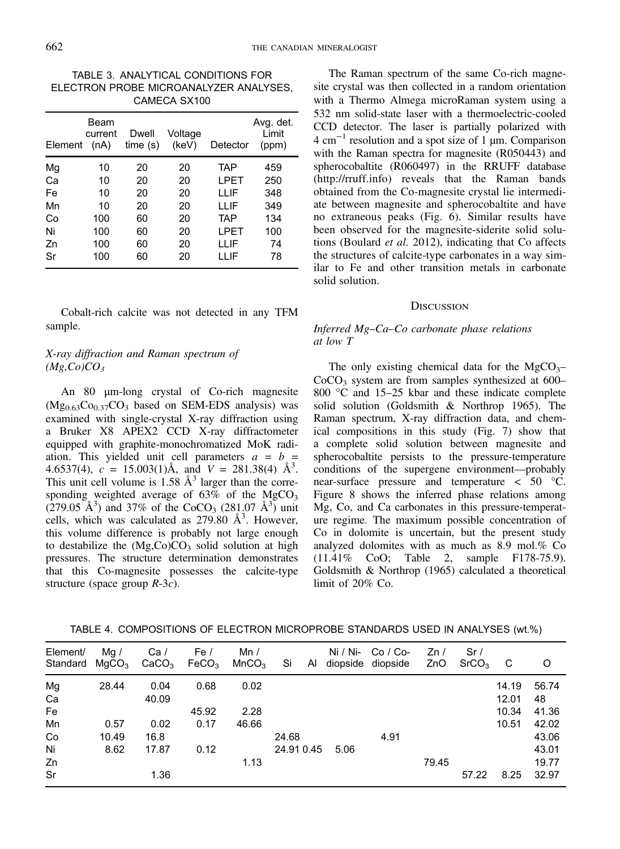TABLE 3. ANALYTICAL CONDITIONS FOR ELECTRON PROBE MICROANALYZER ANALYSES, CAMECA SX100

| Element | Beam<br>current<br>(nA) | Dwell<br>time(s) | Voltage<br>(keV) | Detector   | Avg. det.<br>Limit<br>(ppm) |
|---------|-------------------------|------------------|------------------|------------|-----------------------------|
| Mg      | 10                      | 20               | 20               | TAP        | 459                         |
| Сa      | 10                      | 20               | 20               | LPET       | 250                         |
| Fe      | 10                      | 20               | 20               | I I IF     | 348                         |
| Mn      | 10                      | 20               | 20               | I I IF     | 349                         |
| Co      | 100                     | 60               | 20               | <b>TAP</b> | 134                         |
| Ni      | 100                     | 60               | 20               | LPET       | 100                         |
| Zn      | 100                     | 60               | 20               | LLIF       | 74                          |
| Sr      | 100                     | 60               | 20               | LLIF       | 78                          |

Cobalt-rich calcite was not detected in any TFM sample.

# X-ray diffraction and Raman spectrum of  $(Mg,Co)CO<sub>3</sub>$

An 80 μm-long crystal of Co-rich magnesite  $(Mg_{0.63}Co_{0.37}CO_3$  based on SEM-EDS analysis) was examined with single-crystal X-ray diffraction using a Bruker X8 APEX2 CCD X-ray diffractometer equipped with graphite-monochromatized MoK radiation. This yielded unit cell parameters  $a = b =$ 4.6537(4),  $c = 15.003(1)$ Å, and  $V = 281.38(4)$  Å<sup>3</sup>. This unit cell volume is  $1.58 \text{ Å}^3$  larger than the corresponding weighted average of  $63\%$  of the MgCO<sub>3</sub>  $(279.05 \text{ Å}^3)$  and 37% of the CoCO<sub>3</sub>  $(281.07 \text{ Å}^3)$  unit cells, which was calculated as  $279.80 \text{ Å}^3$ . However, this volume difference is probably not large enough to destabilize the  $(Mg, Co)CO<sub>3</sub>$  solid solution at high pressures. The structure determination demonstrates that this Co-magnesite possesses the calcite-type structure (space group  $R-3c$ ).

The Raman spectrum of the same Co-rich magnesite crystal was then collected in a random orientation with a Thermo Almega microRaman system using a 532 nm solid-state laser with a thermoelectric-cooled CCD detector. The laser is partially polarized with  $4 \text{ cm}^{-1}$  resolution and a spot size of 1 µm. Comparison with the Raman spectra for magnesite (R050443) and spherocobaltite (R060497) in the RRUFF database (<http://rruff.info>) reveals that the Raman bands obtained from the Co-magnesite crystal lie intermediate between magnesite and spherocobaltite and have no extraneous peaks (Fig. 6). Similar results have been observed for the magnesite-siderite solid solutions (Boulard et al. 2012), indicating that Co affects the structures of calcite-type carbonates in a way similar to Fe and other transition metals in carbonate solid solution.

### **DISCUSSION**

## Inferred Mg–Ca–Co carbonate phase relations at low T

The only existing chemical data for the  $MgCO<sub>3</sub>$ –  $CoCO<sub>3</sub>$  system are from samples synthesized at 600– 800 °C and 15–25 kbar and these indicate complete solid solution (Goldsmith & Northrop 1965). The Raman spectrum, X-ray diffraction data, and chemical compositions in this study (Fig. 7) show that a complete solid solution between magnesite and spherocobaltite persists to the pressure-temperature conditions of the supergene environment—probably near-surface pressure and temperature < 50 °C. Figure 8 shows the inferred phase relations among Mg, Co, and Ca carbonates in this pressure-temperature regime. The maximum possible concentration of Co in dolomite is uncertain, but the present study analyzed dolomites with as much as 8.9 mol.% Co (11.41% CoO; Table 2, sample F178-75.9). Goldsmith & Northrop (1965) calculated a theoretical limit of 20% Co.

| Element/<br>Standard | Mq /<br>MqCO <sub>3</sub> | Ca/<br>CaCO <sub>3</sub> | Fe/   | Mn /<br>$FeCO3$ MnCO <sub>3</sub> | – Si       | Ni / Ni- | $Co / Co-$<br>Al diopside diopside | Zn/<br>ZnO | Sr/<br>SrCO <sub>3</sub> | - C   | O     |
|----------------------|---------------------------|--------------------------|-------|-----------------------------------|------------|----------|------------------------------------|------------|--------------------------|-------|-------|
| Mg                   | 28.44                     | 0.04                     | 0.68  | 0.02                              |            |          |                                    |            |                          | 14.19 | 56.74 |
| Ca                   |                           | 40.09                    |       |                                   |            |          |                                    |            |                          | 12.01 | 48    |
| Fe                   |                           |                          | 45.92 | 2.28                              |            |          |                                    |            |                          | 10.34 | 41.36 |
| Mn                   | 0.57                      | 0.02                     | 0.17  | 46.66                             |            |          |                                    |            |                          | 10.51 | 42.02 |
| Co                   | 10.49                     | 16.8                     |       |                                   | 24.68      |          | 4.91                               |            |                          |       | 43.06 |
| Ni                   | 8.62                      | 17.87                    | 0.12  |                                   | 24.91 0.45 | 5.06     |                                    |            |                          |       | 43.01 |
| Zn                   |                           |                          |       | 1.13                              |            |          |                                    | 79.45      |                          |       | 19.77 |
| Sr                   |                           | 1.36                     |       |                                   |            |          |                                    |            | 57.22                    | 8.25  | 32.97 |

TABLE 4. COMPOSITIONS OF ELECTRON MICROPROBE STANDARDS USED IN ANALYSES (wt.%)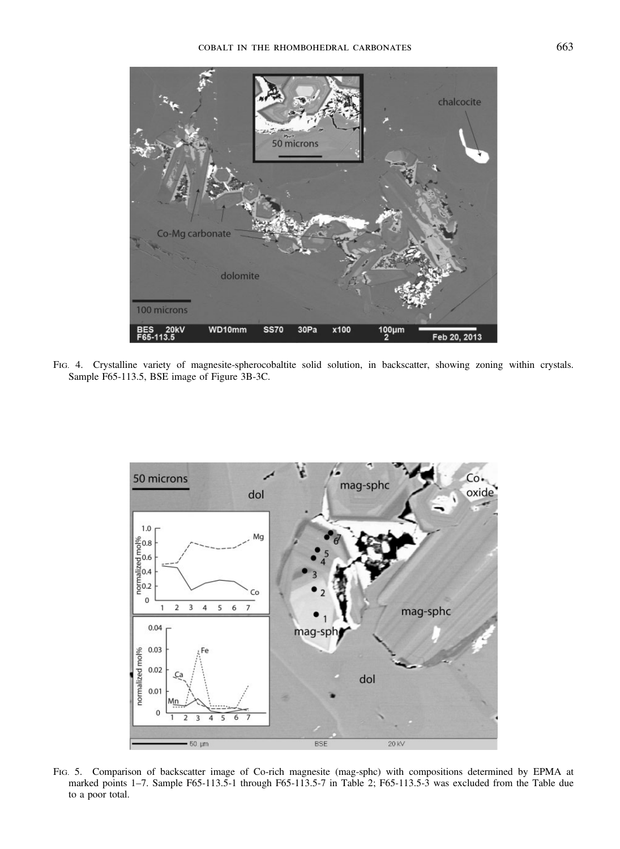

FIG. 4. Crystalline variety of magnesite-spherocobaltite solid solution, in backscatter, showing zoning within crystals. Sample F65-113.5, BSE image of Figure 3B-3C.



FIG. 5. Comparison of backscatter image of Co-rich magnesite (mag-sphc) with compositions determined by EPMA at marked points 1–7. Sample F65-113.5-1 through F65-113.5-7 in Table 2; F65-113.5-3 was excluded from the Table due to a poor total.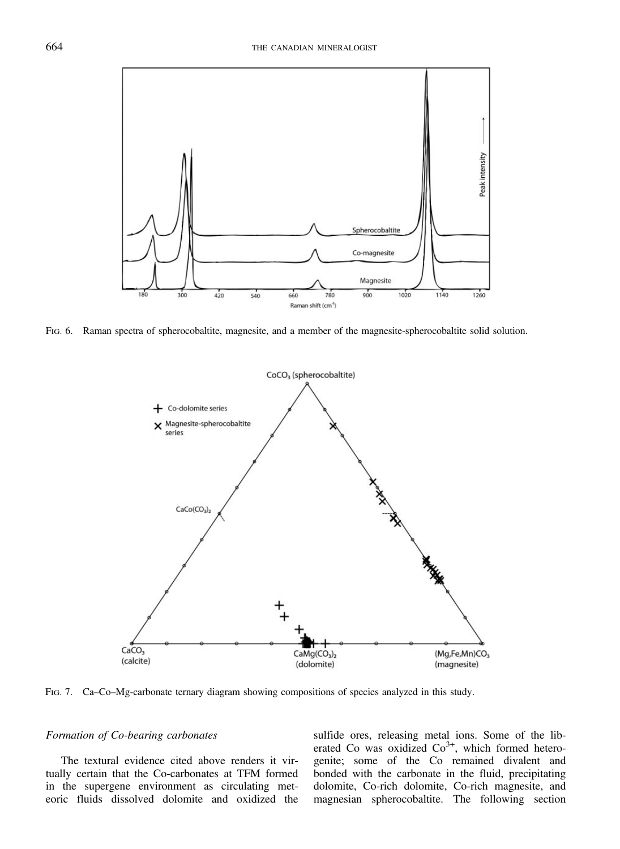

FIG. 6. Raman spectra of spherocobaltite, magnesite, and a member of the magnesite-spherocobaltite solid solution.



FIG. 7. Ca–Co–Mg-carbonate ternary diagram showing compositions of species analyzed in this study.

## Formation of Co-bearing carbonates

The textural evidence cited above renders it virtually certain that the Co-carbonates at TFM formed in the supergene environment as circulating meteoric fluids dissolved dolomite and oxidized the

sulfide ores, releasing metal ions. Some of the liberated Co was oxidized  $Co<sup>3+</sup>$ , which formed heterogenite; some of the Co remained divalent and bonded with the carbonate in the fluid, precipitating dolomite, Co-rich dolomite, Co-rich magnesite, and magnesian spherocobaltite. The following section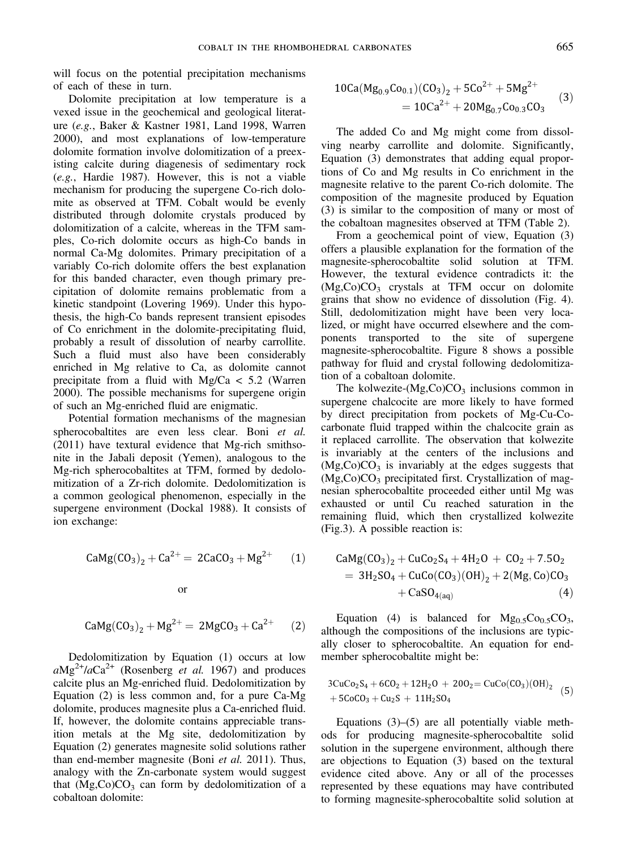will focus on the potential precipitation mechanisms of each of these in turn.

Dolomite precipitation at low temperature is a vexed issue in the geochemical and geological literature (e.g., Baker & Kastner 1981, Land 1998, Warren 2000), and most explanations of low-temperature dolomite formation involve dolomitization of a preexisting calcite during diagenesis of sedimentary rock (e.g., Hardie 1987). However, this is not a viable mechanism for producing the supergene Co-rich dolomite as observed at TFM. Cobalt would be evenly distributed through dolomite crystals produced by dolomitization of a calcite, whereas in the TFM samples, Co-rich dolomite occurs as high-Co bands in normal Ca-Mg dolomites. Primary precipitation of a variably Co-rich dolomite offers the best explanation for this banded character, even though primary precipitation of dolomite remains problematic from a kinetic standpoint (Lovering 1969). Under this hypothesis, the high-Co bands represent transient episodes of Co enrichment in the dolomite-precipitating fluid, probably a result of dissolution of nearby carrollite. Such a fluid must also have been considerably enriched in Mg relative to Ca, as dolomite cannot precipitate from a fluid with Mg/Ca < 5.2 (Warren 2000). The possible mechanisms for supergene origin of such an Mg-enriched fluid are enigmatic.

Potential formation mechanisms of the magnesian spherocobaltites are even less clear. Boni et al. (2011) have textural evidence that Mg-rich smithsonite in the Jabali deposit (Yemen), analogous to the Mg-rich spherocobaltites at TFM, formed by dedolomitization of a Zr-rich dolomite. Dedolomitization is a common geological phenomenon, especially in the supergene environment (Dockal 1988). It consists of ion exchange:

$$
CaMg(CO_3)_2 + Ca^{2+} = 2CaCO_3 + Mg^{2+}
$$
 (1)

$$
\overline{\text{or}}
$$

$$
CaMg(CO3)2 + Mg2+ = 2MgCO3 + Ca2+
$$
 (2)

Dedolomitization by Equation (1) occurs at low  $aMg^{2+}/aCa^{2+}$  (Rosenberg *et al.* 1967) and produces calcite plus an Mg-enriched fluid. Dedolomitization by Equation (2) is less common and, for a pure Ca-Mg dolomite, produces magnesite plus a Ca-enriched fluid. If, however, the dolomite contains appreciable transition metals at the Mg site, dedolomitization by Equation (2) generates magnesite solid solutions rather than end-member magnesite (Boni et al. 2011). Thus, analogy with the Zn-carbonate system would suggest that  $(Mg,Co)CO<sub>3</sub>$  can form by dedolomitization of a cobaltoan dolomite:

$$
10Ca(Mg_{0.9}Co_{0.1})(CO_3)_2 + 5Co^{2+} + 5Mg^{2+}
$$
  
= 
$$
10Ca^{2+} + 20Mg_{0.7}Co_{0.3}CO_3
$$
 (3)

The added Co and Mg might come from dissolving nearby carrollite and dolomite. Significantly, Equation (3) demonstrates that adding equal proportions of Co and Mg results in Co enrichment in the magnesite relative to the parent Co-rich dolomite. The composition of the magnesite produced by Equation (3) is similar to the composition of many or most of the cobaltoan magnesites observed at TFM (Table 2).

From a geochemical point of view, Equation (3) offers a plausible explanation for the formation of the magnesite-spherocobaltite solid solution at TFM. However, the textural evidence contradicts it: the  $(Mg,Co)CO<sub>3</sub>$  crystals at TFM occur on dolomite grains that show no evidence of dissolution (Fig. 4). Still, dedolomitization might have been very localized, or might have occurred elsewhere and the components transported to the site of supergene magnesite-spherocobaltite. Figure 8 shows a possible pathway for fluid and crystal following dedolomitization of a cobaltoan dolomite.

The kolwezite- $(Mg,Co)CO<sub>3</sub>$  inclusions common in supergene chalcocite are more likely to have formed by direct precipitation from pockets of Mg-Cu-Cocarbonate fluid trapped within the chalcocite grain as it replaced carrollite. The observation that kolwezite is invariably at the centers of the inclusions and  $(Mg,Co)CO<sub>3</sub>$  is invariably at the edges suggests that (Mg,Co)CO<sub>3</sub> precipitated first. Crystallization of magnesian spherocobaltite proceeded either until Mg was exhausted or until Cu reached saturation in the remaining fluid, which then crystallized kolwezite (Fig.3). A possible reaction is:

$$
CaMg(CO3)2 + CuCo2S4 + 4H2O + CO2 + 7.5O2= 3H2SO4 + CuCo(CO3)(OH)2 + 2(Mg, Co)CO3+ CaSO4(aq)
$$
 (4)

Equation (4) is balanced for  $Mg_{0.5}Co_{0.5}CO_3$ , although the compositions of the inclusions are typically closer to spherocobaltite. An equation for endmember spherocobaltite might be:

$$
3CuCo2S4 + 6CO2 + 12H2O + 20O2 = CuCo(CO3)(OH)2 (5)+ 5CoCO3 + Cu2S + 11H2SO4
$$

Equations (3)–(5) are all potentially viable methods for producing magnesite-spherocobaltite solid solution in the supergene environment, although there are objections to Equation (3) based on the textural evidence cited above. Any or all of the processes represented by these equations may have contributed to forming magnesite-spherocobaltite solid solution at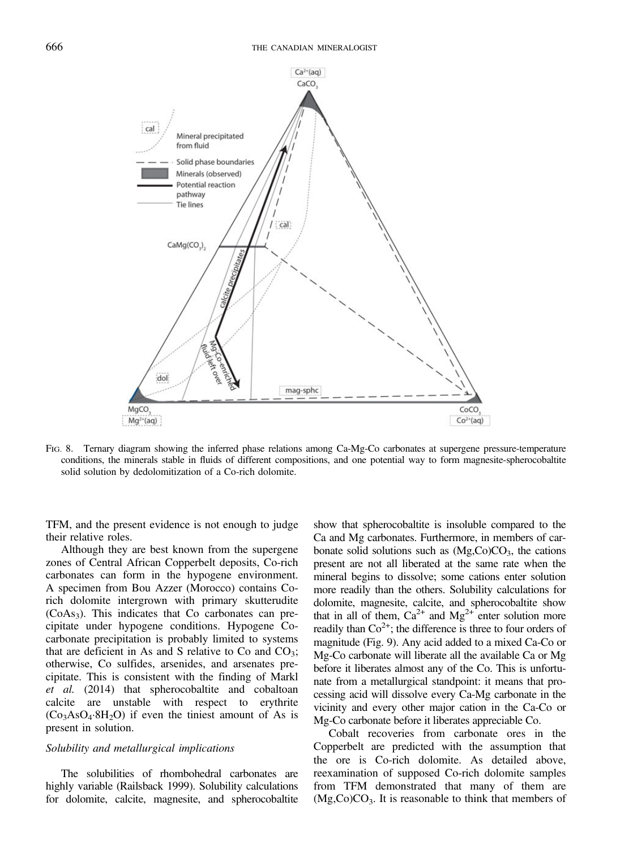

FIG. 8. Ternary diagram showing the inferred phase relations among Ca-Mg-Co carbonates at supergene pressure-temperature conditions, the minerals stable in fluids of different compositions, and one potential way to form magnesite-spherocobaltite solid solution by dedolomitization of a Co-rich dolomite.

TFM, and the present evidence is not enough to judge their relative roles.

Although they are best known from the supergene zones of Central African Copperbelt deposits, Co-rich carbonates can form in the hypogene environment. A specimen from Bou Azzer (Morocco) contains Corich dolomite intergrown with primary skutterudite  $(CoAs<sub>3</sub>)$ . This indicates that Co carbonates can precipitate under hypogene conditions. Hypogene Cocarbonate precipitation is probably limited to systems that are deficient in As and S relative to Co and  $CO<sub>3</sub>$ ; otherwise, Co sulfides, arsenides, and arsenates precipitate. This is consistent with the finding of Markl et al. (2014) that spherocobaltite and cobaltoan calcite are unstable with respect to erythrite  $(Co<sub>3</sub>AsO<sub>4</sub>·8H<sub>2</sub>O)$  if even the tiniest amount of As is present in solution.

# Solubility and metallurgical implications

The solubilities of rhombohedral carbonates are highly variable (Railsback 1999). Solubility calculations for dolomite, calcite, magnesite, and spherocobaltite show that spherocobaltite is insoluble compared to the Ca and Mg carbonates. Furthermore, in members of carbonate solid solutions such as  $(Mg, Co)CO<sub>3</sub>$ , the cations present are not all liberated at the same rate when the mineral begins to dissolve; some cations enter solution more readily than the others. Solubility calculations for dolomite, magnesite, calcite, and spherocobaltite show that in all of them,  $Ca^{2+}$  and  $Mg^{2+}$  enter solution more readily than  $\text{Co}^{2+}$ ; the difference is three to four orders of magnitude (Fig. 9). Any acid added to a mixed Ca-Co or Mg-Co carbonate will liberate all the available Ca or Mg before it liberates almost any of the Co. This is unfortunate from a metallurgical standpoint: it means that processing acid will dissolve every Ca-Mg carbonate in the vicinity and every other major cation in the Ca-Co or Mg-Co carbonate before it liberates appreciable Co.

Cobalt recoveries from carbonate ores in the Copperbelt are predicted with the assumption that the ore is Co-rich dolomite. As detailed above, reexamination of supposed Co-rich dolomite samples from TFM demonstrated that many of them are  $(Mg,Co)CO<sub>3</sub>$ . It is reasonable to think that members of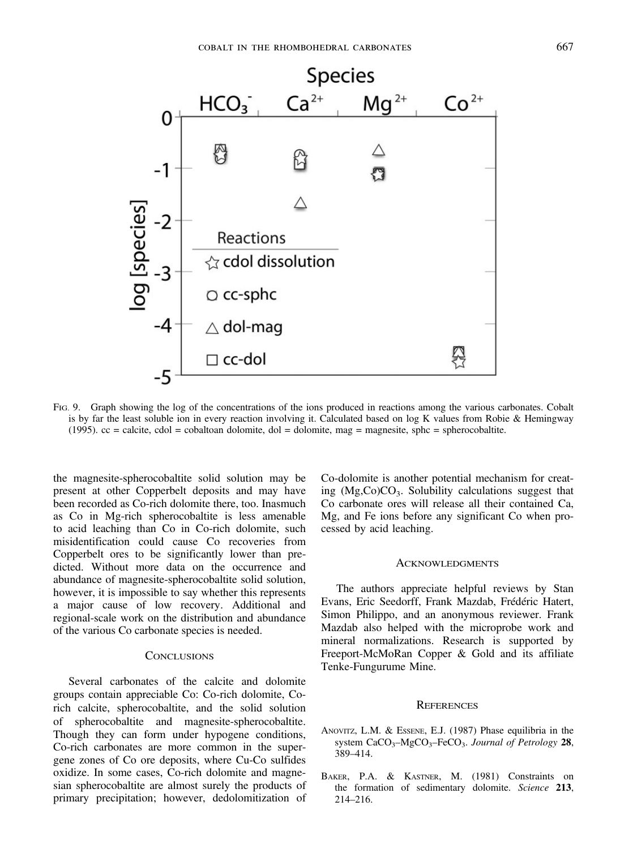

FIG. 9. Graph showing the log of the concentrations of the ions produced in reactions among the various carbonates. Cobalt is by far the least soluble ion in every reaction involving it. Calculated based on log K values from Robie & Hemingway  $(1995)$ . cc = calcite, cdol = cobaltoan dolomite, dol = dolomite, mag = magnesite, sphc = spherocobaltite.

the magnesite-spherocobaltite solid solution may be present at other Copperbelt deposits and may have been recorded as Co-rich dolomite there, too. Inasmuch as Co in Mg-rich spherocobaltite is less amenable to acid leaching than Co in Co-rich dolomite, such misidentification could cause Co recoveries from Copperbelt ores to be significantly lower than predicted. Without more data on the occurrence and abundance of magnesite-spherocobaltite solid solution, however, it is impossible to say whether this represents a major cause of low recovery. Additional and regional-scale work on the distribution and abundance of the various Co carbonate species is needed.

#### **CONCLUSIONS**

Several carbonates of the calcite and dolomite groups contain appreciable Co: Co-rich dolomite, Corich calcite, spherocobaltite, and the solid solution of spherocobaltite and magnesite-spherocobaltite. Though they can form under hypogene conditions, Co-rich carbonates are more common in the supergene zones of Co ore deposits, where Cu-Co sulfides oxidize. In some cases, Co-rich dolomite and magnesian spherocobaltite are almost surely the products of primary precipitation; however, dedolomitization of Co-dolomite is another potential mechanism for creating  $(Mg, Co)CO<sub>3</sub>$ . Solubility calculations suggest that Co carbonate ores will release all their contained Ca, Mg, and Fe ions before any significant Co when processed by acid leaching.

#### **ACKNOWLEDGMENTS**

The authors appreciate helpful reviews by Stan Evans, Eric Seedorff, Frank Mazdab, Frédéric Hatert, Simon Philippo, and an anonymous reviewer. Frank Mazdab also helped with the microprobe work and mineral normalizations. Research is supported by Freeport-McMoRan Copper & Gold and its affiliate Tenke-Fungurume Mine.

#### **REFERENCES**

- ANOVITZ, L.M. & ESSENE, E.J. (1987) Phase equilibria in the system CaCO<sub>3</sub>-MgCO<sub>3</sub>-FeCO<sub>3</sub>. Journal of Petrology 28, 389–414.
- BAKER, P.A. & KASTNER, M. (1981) Constraints on the formation of sedimentary dolomite. Science 213, 214–216.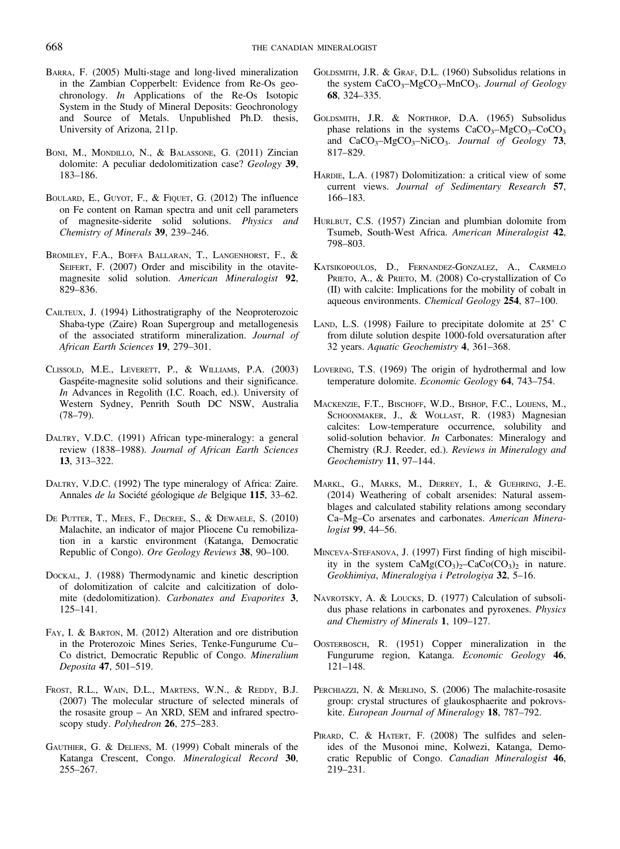- BARRA, F. (2005) Multi-stage and long-lived mineralization in the Zambian Copperbelt: Evidence from Re-Os geochronology. In Applications of the Re-Os Isotopic System in the Study of Mineral Deposits: Geochronology and Source of Metals. Unpublished Ph.D. thesis, University of Arizona, 211p.
- BONI, M., MONDILLO, N., & BALASSONE, G. (2011) Zincian dolomite: A peculiar dedolomitization case? Geology 39, 183–186.
- BOULARD, E., GUYOT, F., & FIQUET, G. (2012) The influence on Fe content on Raman spectra and unit cell parameters of magnesite-siderite solid solutions. Physics and Chemistry of Minerals 39, 239–246.
- BROMILEY, F.A., BOFFA BALLARAN, T., LANGENHORST, F., & SEIFERT, F. (2007) Order and miscibility in the otavitemagnesite solid solution. American Mineralogist 92, 829–836.
- CAILTEUX, J. (1994) Lithostratigraphy of the Neoproterozoic Shaba-type (Zaire) Roan Supergroup and metallogenesis of the associated stratiform mineralization. Journal of African Earth Sciences 19, 279–301.
- CLISSOLD, M.E., LEVERETT, P., & WILLIAMS, P.A. (2003) Gaspéite-magnesite solid solutions and their significance. In Advances in Regolith (I.C. Roach, ed.). University of Western Sydney, Penrith South DC NSW, Australia (78–79).
- DALTRY, V.D.C. (1991) African type-mineralogy: a general review (1838–1988). Journal of African Earth Sciences 13, 313–322.
- DALTRY, V.D.C. (1992) The type mineralogy of Africa: Zaire. Annales de la Société géologique de Belgique 115, 33–62.
- DE PUTTER, T., MEES, F., DECREE, S., & DEWAELE, S. (2010) Malachite, an indicator of major Pliocene Cu remobilization in a karstic environment (Katanga, Democratic Republic of Congo). Ore Geology Reviews 38, 90–100.
- DOCKAL, J. (1988) Thermodynamic and kinetic description of dolomitization of calcite and calcitization of dolo‐ mite (dedolomitization). Carbonates and Evaporites 3, 125–141.
- FAY, I. & BARTON, M. (2012) Alteration and ore distribution in the Proterozoic Mines Series, Tenke-Fungurume Cu– Co district, Democratic Republic of Congo. Mineralium Deposita 47, 501–519.
- FROST, R.L., WAIN, D.L., MARTENS, W.N., & REDDY, B.J. (2007) The molecular structure of selected minerals of the rosasite group – An XRD, SEM and infrared spectroscopy study. Polyhedron 26, 275–283.
- GAUTHIER, G. & DELIENS, M. (1999) Cobalt minerals of the Katanga Crescent, Congo. Mineralogical Record 30, 255–267.
- GOLDSMITH, J.R. & GRAF, D.L. (1960) Subsolidus relations in the system  $CaCO<sub>3</sub>–MgCO<sub>3</sub>–MnCO<sub>3</sub>$ . Journal of Geology 68, 324–335.
- GOLDSMITH, J.R. & NORTHROP, D.A. (1965) Subsolidus phase relations in the systems  $CaCO<sub>3</sub>–MgCO<sub>3</sub>–CoCO<sub>3</sub>$ and  $CaCO<sub>3</sub>-MgCO<sub>3</sub>-NiCO<sub>3</sub>$ . Journal of Geology 73, 817–829.
- HARDIE, L.A. (1987) Dolomitization: a critical view of some current views. Journal of Sedimentary Research 57, 166–183.
- HURLBUT, C.S. (1957) Zincian and plumbian dolomite from Tsumeb, South-West Africa. American Mineralogist 42, 798–803.
- KATSIKOPOULOS, D., FERNANDEZ-GONZALEZ, A., CARMELO PRIETO, A., & PRIETO, M. (2008) Co-crystallization of Co (II) with calcite: Implications for the mobility of cobalt in aqueous environments. Chemical Geology 254, 87–100.
- LAND, L.S. (1998) Failure to precipitate dolomite at 25˚ C from dilute solution despite 1000-fold oversaturation after 32 years. Aquatic Geochemistry 4, 361–368.
- LOVERING, T.S. (1969) The origin of hydrothermal and low temperature dolomite. Economic Geology 64, 743–754.
- MACKENZIE, F.T., BISCHOFF, W.D., BISHOP, F.C., LOIJENS, M., SCHOONMAKER, J., & WOLLAST, R. (1983) Magnesian calcites: Low-temperature occurrence, solubility and solid-solution behavior. In Carbonates: Mineralogy and Chemistry (R.J. Reeder, ed.). Reviews in Mineralogy and Geochemistry 11, 97–144.
- MARKL, G., MARKS, M., DERREY, I., & GUEHRING, J.-E. (2014) Weathering of cobalt arsenides: Natural assemblages and calculated stability relations among secondary Ca–Mg–Co arsenates and carbonates. American Minera‐ logist 99, 44–56.
- MINCEVA-STEFANOVA, J. (1997) First finding of high miscibility in the system  $CaMg(CO_3)_{2}-CaCo(CO_3)_{2}$  in nature. Geokhimiya, Mineralogiya i Petrologiya 32, 5–16.
- NAVROTSKY, A. & LOUCKS, D. (1977) Calculation of subsolidus phase relations in carbonates and pyroxenes. Physics and Chemistry of Minerals 1, 109–127.
- OOSTERBOSCH, R. (1951) Copper mineralization in the Fungurume region, Katanga. Economic Geology 46, 121–148.
- PERCHIAZZI, N. & MERLINO, S. (2006) The malachite-rosasite group: crystal structures of glaukosphaerite and pokrovskite. European Journal of Mineralogy 18, 787–792.
- PIRARD, C. & HATERT, F. (2008) The sulfides and selenides of the Musonoi mine, Kolwezi, Katanga, Democratic Republic of Congo. Canadian Mineralogist 46, 219–231.